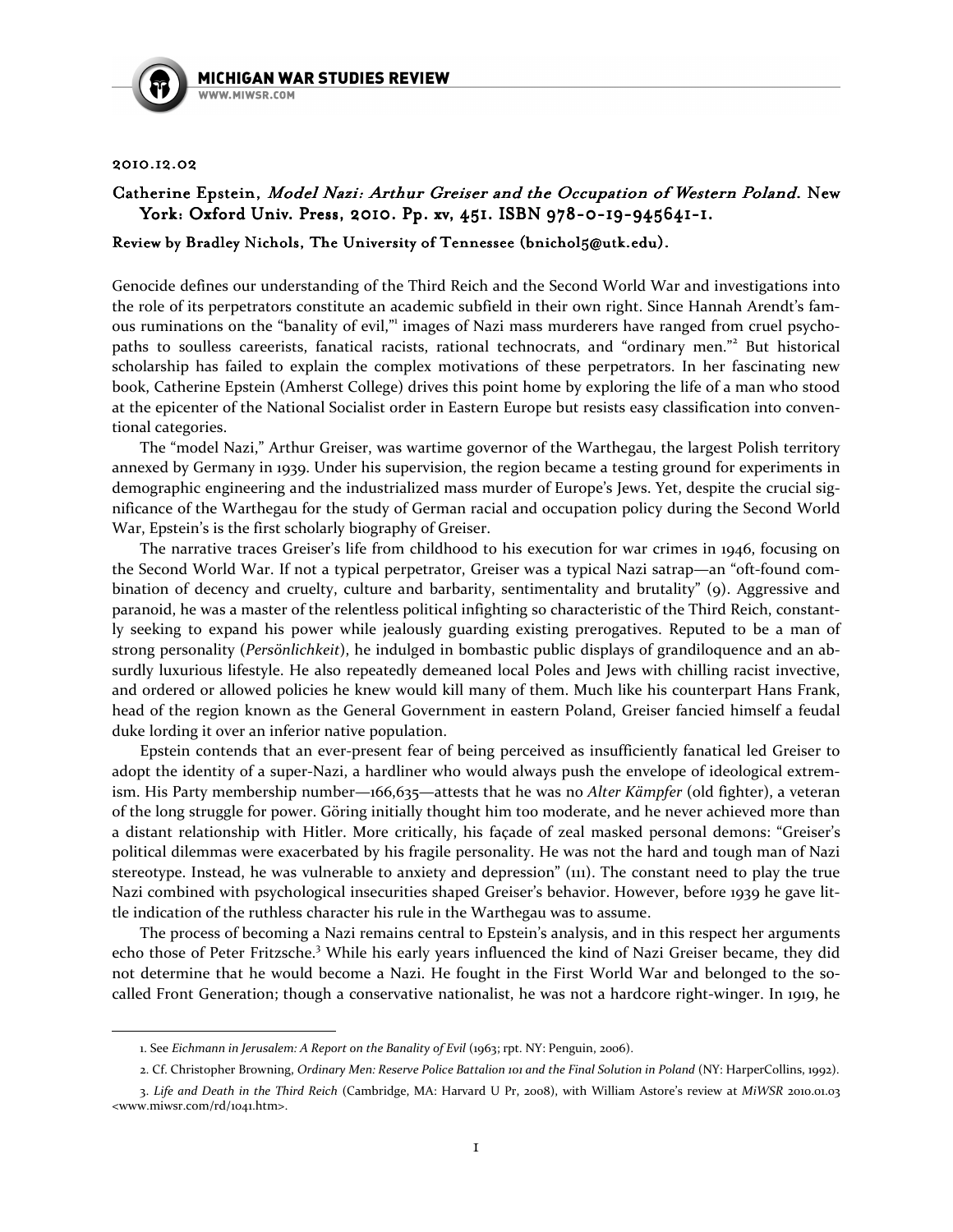

## 2010.12.02

 $\overline{\phantom{0}}$ 

## Catherine Epstein, Model Nazi: Arthur Greiser and the Occupation of Western Poland. New York: Oxford Univ. Press, 2010. Pp. xv, 451. ISBN 978-0-19-945641-1.

## Review by Bradley Nichols, The University of Tennessee (bnichol5@utk.edu).

Genocide defines our understanding of the Third Reich and the Second World War and investigations into the role of its perpetrators constitute an academic subfield in their own right. Since Hannah Arendt's famous ruminations on the "banality of evil," images of Nazi mass murderers have ranged from cruel psychopaths to soulless careerists, fanatical racists, rational technocrats, and "ordinary men."<sup>2</sup> But historical scholarship has failed to explain the complex motivations of these perpetrators. In her fascinating new book, Catherine Epstein (Amherst College) drives this point home by exploring the life of a man who stood at the epicenter of the National Socialist order in Eastern Europe but resists easy classification into conventional categories.

The "model Nazi," Arthur Greiser, was wartime governor of the Warthegau, the largest Polish territory annexed by Germany in 1939. Under his supervision, the region became a testing ground for experiments in demographic engineering and the industrialized mass murder of Europe's Jews. Yet, despite the crucial significance of the Warthegau for the study of German racial and occupation policy during the Second World War, Epstein's is the first scholarly biography of Greiser.

 The narrative traces Greiser's life from childhood to his execution for war crimes in 1946, focusing on the Second World War. If not a typical perpetrator, Greiser was a typical Nazi satrap—an "oft-found combination of decency and cruelty, culture and barbarity, sentimentality and brutality" (9). Aggressive and paranoid, he was a master of the relentless political infighting so characteristic of the Third Reich, constantly seeking to expand his power while jealously guarding existing prerogatives. Reputed to be a man of strong personality (Persönlichkeit), he indulged in bombastic public displays of grandiloquence and an absurdly luxurious lifestyle. He also repeatedly demeaned local Poles and Jews with chilling racist invective, and ordered or allowed policies he knew would kill many of them. Much like his counterpart Hans Frank, head of the region known as the General Government in eastern Poland, Greiser fancied himself a feudal duke lording it over an inferior native population.

Epstein contends that an ever-present fear of being perceived as insufficiently fanatical led Greiser to adopt the identity of a super-Nazi, a hardliner who would always push the envelope of ideological extremism. His Party membership number—166,635—attests that he was no Alter Kämpfer (old fighter), a veteran of the long struggle for power. Göring initially thought him too moderate, and he never achieved more than a distant relationship with Hitler. More critically, his façade of zeal masked personal demons: "Greiser's political dilemmas were exacerbated by his fragile personality. He was not the hard and tough man of Nazi stereotype. Instead, he was vulnerable to anxiety and depression" (111). The constant need to play the true Nazi combined with psychological insecurities shaped Greiser's behavior. However, before 1939 he gave little indication of the ruthless character his rule in the Warthegau was to assume.

The process of becoming a Nazi remains central to Epstein's analysis, and in this respect her arguments echo those of Peter Fritzsche.<sup>3</sup> While his early years influenced the kind of Nazi Greiser became, they did not determine that he would become a Nazi. He fought in the First World War and belonged to the socalled Front Generation; though a conservative nationalist, he was not a hardcore right-winger. In 1919, he

<sup>1.</sup> See Eichmann in Jerusalem: A Report on the Banality of Evil (1963; rpt. NY: Penguin, 2006).

<sup>2.</sup> Cf. Christopher Browning, Ordinary Men: Reserve Police Battalion 101 and the Final Solution in Poland (NY: HarperCollins, 1992).

<sup>3.</sup> Life and Death in the Third Reich (Cambridge, MA: Harvard U Pr, 2008), with William Astore's review at MiWSR 2010.01.03 <www.miwsr.com/rd/1041.htm>.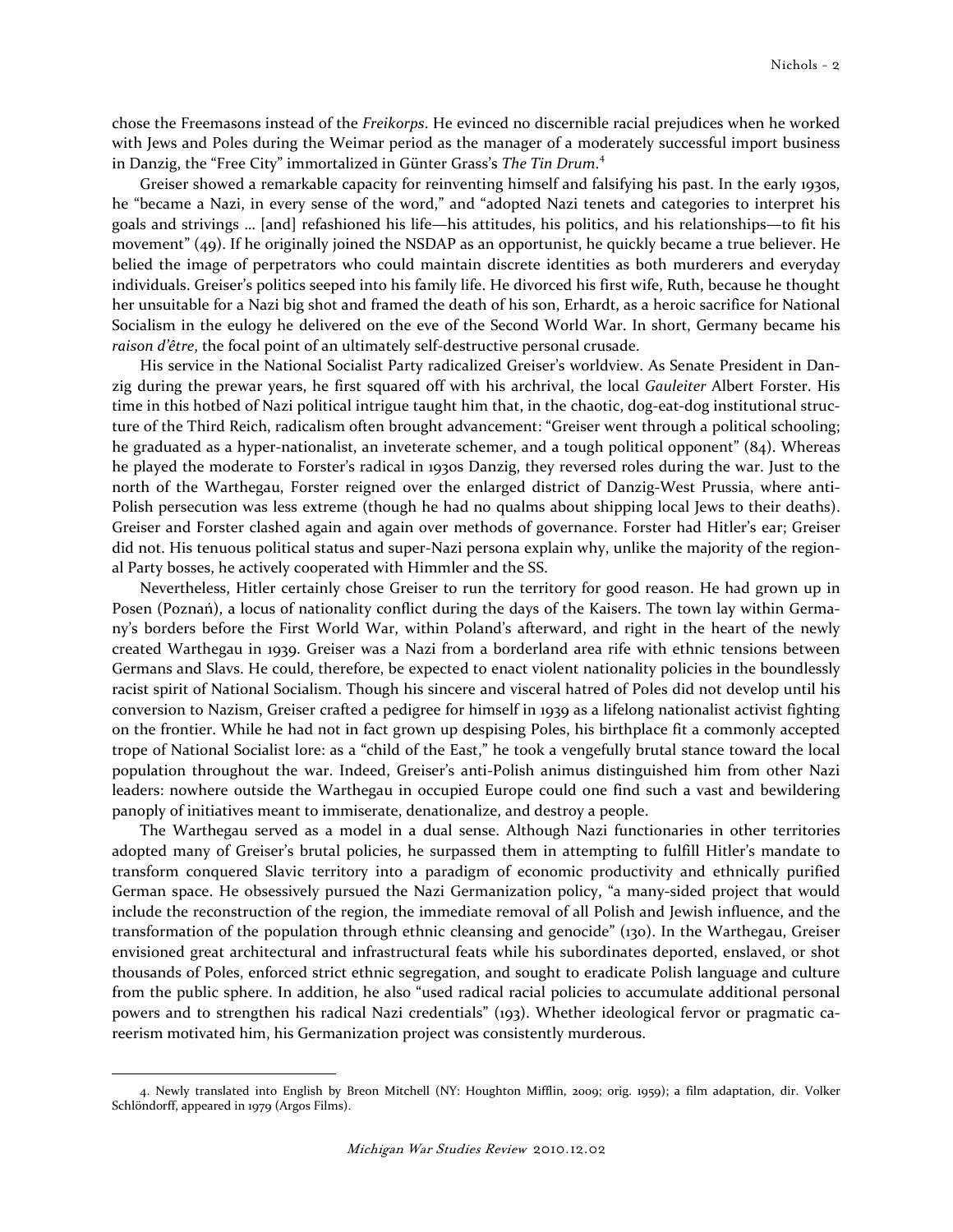chose the Freemasons instead of the Freikorps. He evinced no discernible racial prejudices when he worked with Jews and Poles during the Weimar period as the manager of a moderately successful import business in Danzig, the "Free City" immortalized in Günter Grass's The Tin Drum.<sup>4</sup>

Greiser showed a remarkable capacity for reinventing himself and falsifying his past. In the early 1930s, he "became a Nazi, in every sense of the word," and "adopted Nazi tenets and categories to interpret his goals and strivings … [and] refashioned his life—his attitudes, his politics, and his relationships—to fit his movement" (49). If he originally joined the NSDAP as an opportunist, he quickly became a true believer. He belied the image of perpetrators who could maintain discrete identities as both murderers and everyday individuals. Greiser's politics seeped into his family life. He divorced his first wife, Ruth, because he thought her unsuitable for a Nazi big shot and framed the death of his son, Erhardt, as a heroic sacrifice for National Socialism in the eulogy he delivered on the eve of the Second World War. In short, Germany became his raison d'être, the focal point of an ultimately self-destructive personal crusade.

 His service in the National Socialist Party radicalized Greiser's worldview. As Senate President in Danzig during the prewar years, he first squared off with his archrival, the local Gauleiter Albert Forster. His time in this hotbed of Nazi political intrigue taught him that, in the chaotic, dog-eat-dog institutional structure of the Third Reich, radicalism often brought advancement: "Greiser went through a political schooling; he graduated as a hyper-nationalist, an inveterate schemer, and a tough political opponent" (84). Whereas he played the moderate to Forster's radical in 1930s Danzig, they reversed roles during the war. Just to the north of the Warthegau, Forster reigned over the enlarged district of Danzig-West Prussia, where anti-Polish persecution was less extreme (though he had no qualms about shipping local Jews to their deaths). Greiser and Forster clashed again and again over methods of governance. Forster had Hitler's ear; Greiser did not. His tenuous political status and super-Nazi persona explain why, unlike the majority of the regional Party bosses, he actively cooperated with Himmler and the SS.

 Nevertheless, Hitler certainly chose Greiser to run the territory for good reason. He had grown up in Posen (Poznań), a locus of nationality conflict during the days of the Kaisers. The town lay within Germany's borders before the First World War, within Poland's afterward, and right in the heart of the newly created Warthegau in 1939. Greiser was a Nazi from a borderland area rife with ethnic tensions between Germans and Slavs. He could, therefore, be expected to enact violent nationality policies in the boundlessly racist spirit of National Socialism. Though his sincere and visceral hatred of Poles did not develop until his conversion to Nazism, Greiser crafted a pedigree for himself in 1939 as a lifelong nationalist activist fighting on the frontier. While he had not in fact grown up despising Poles, his birthplace fit a commonly accepted trope of National Socialist lore: as a "child of the East," he took a vengefully brutal stance toward the local population throughout the war. Indeed, Greiser's anti-Polish animus distinguished him from other Nazi leaders: nowhere outside the Warthegau in occupied Europe could one find such a vast and bewildering panoply of initiatives meant to immiserate, denationalize, and destroy a people.

The Warthegau served as a model in a dual sense. Although Nazi functionaries in other territories adopted many of Greiser's brutal policies, he surpassed them in attempting to fulfill Hitler's mandate to transform conquered Slavic territory into a paradigm of economic productivity and ethnically purified German space. He obsessively pursued the Nazi Germanization policy, "a many-sided project that would include the reconstruction of the region, the immediate removal of all Polish and Jewish influence, and the transformation of the population through ethnic cleansing and genocide" (130). In the Warthegau, Greiser envisioned great architectural and infrastructural feats while his subordinates deported, enslaved, or shot thousands of Poles, enforced strict ethnic segregation, and sought to eradicate Polish language and culture from the public sphere. In addition, he also "used radical racial policies to accumulate additional personal powers and to strengthen his radical Nazi credentials" (193). Whether ideological fervor or pragmatic careerism motivated him, his Germanization project was consistently murderous.

 $\overline{\phantom{0}}$ 

<sup>4.</sup> Newly translated into English by Breon Mitchell (NY: Houghton Mifflin, 2009; orig. 1959); a film adaptation, dir. Volker Schlöndorff, appeared in 1979 (Argos Films).